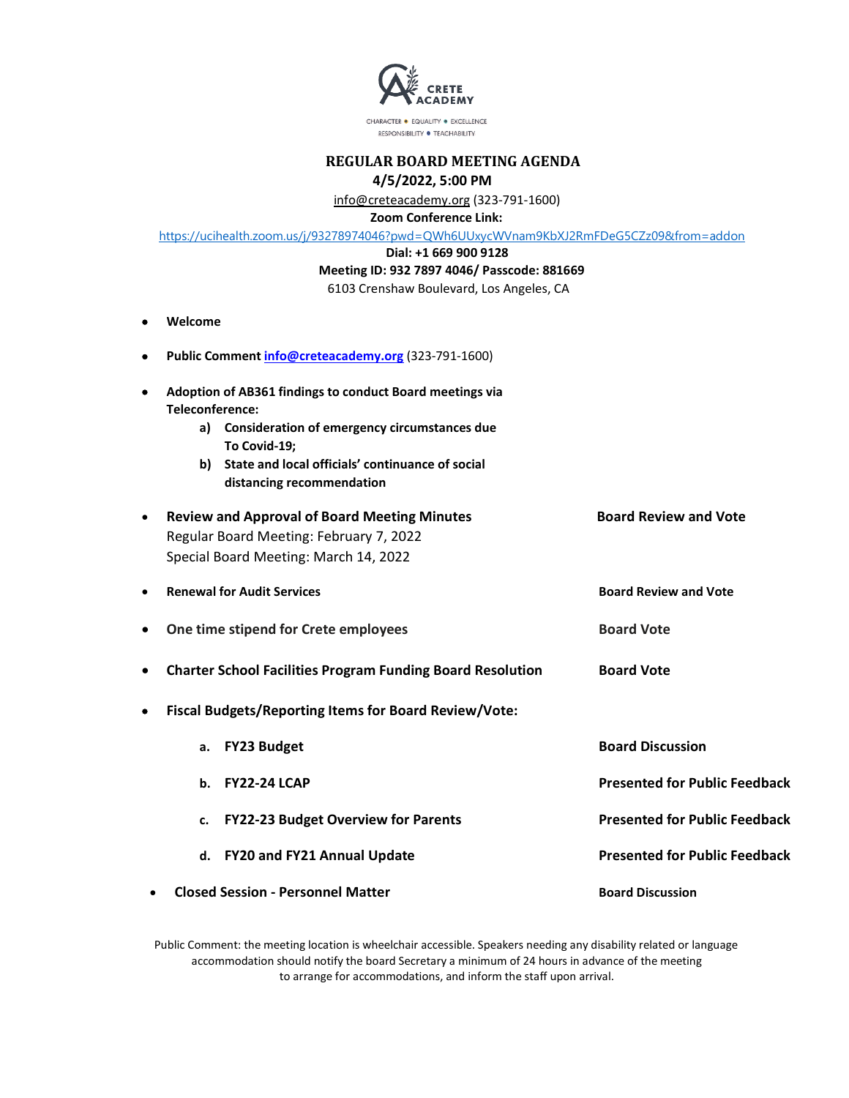

CHARACTER . EQUALITY . EXCELLENCE RESPONSIBILITY · TEACHABILITY

# **REGULAR BOARD MEETING AGENDA 4/5/2022, 5:00 PM**

info@creteacademy.org (323-791-1600)

 **Zoom Conference Link:** 

|           | Zoom Conterence Link:                                                                   |
|-----------|-----------------------------------------------------------------------------------------|
|           | https://ucihealth.zoom.us/j/93278974046?pwd=QWh6UUxycWVnam9KbXJ2RmFDeG5CZz09&from=addon |
|           | Dial: +1 669 900 9128                                                                   |
|           | Meeting ID: 932 7897 4046/ Passcode: 881669                                             |
|           | 6103 Crenshaw Boulevard, Los Angeles, CA                                                |
| $\bullet$ | Welcome                                                                                 |
|           | Public Comment info@creteacademy.org (323-791-1600)                                     |
| ٠         | Adoption of AB361 findings to conduct Board meetings via<br>Teleconference:             |
|           | Consideration of emergency circumstances due<br>a)<br>To Covid-19;                      |
|           | State and local officials' continuance of social<br>b)<br>distancing recommendation     |
| $\bullet$ | <b>Board Review and Vote</b><br><b>Review and Approval of Board Meeting Minutes</b>     |
|           | Regular Board Meeting: February 7, 2022                                                 |
|           |                                                                                         |

|           | Regular Board Meeting: February 7, 2022<br>Special Board Meeting: March 14, 2022 |                              |
|-----------|----------------------------------------------------------------------------------|------------------------------|
| $\bullet$ | <b>Renewal for Audit Services</b>                                                | <b>Board Review and Vote</b> |
| $\bullet$ | One time stipend for Crete employees                                             | <b>Board Vote</b>            |
| $\bullet$ | <b>Charter School Facilities Program Funding Board Resolution</b>                | <b>Board Vote</b>            |
| $\bullet$ | <b>Fiscal Budgets/Reporting Items for Board Review/Vote:</b>                     |                              |
|           | <b>FY23 Budget</b><br>а.                                                         | <b>Board Discussion</b>      |
|           |                                                                                  |                              |

**b. FY22-24 LCAP Presented for Public Feedback c. FY22-23 Budget Overview for Parents Presented for Public Feedback d. FY20 and FY21 Annual Update Presented for Public Feedback** • **Closed Session - Personnel Matter Board Discussion**

Public Comment: the meeting location is wheelchair accessible. Speakers needing any disability related or language accommodation should notify the board Secretary a minimum of 24 hours in advance of the meeting to arrange for accommodations, and inform the staff upon arrival.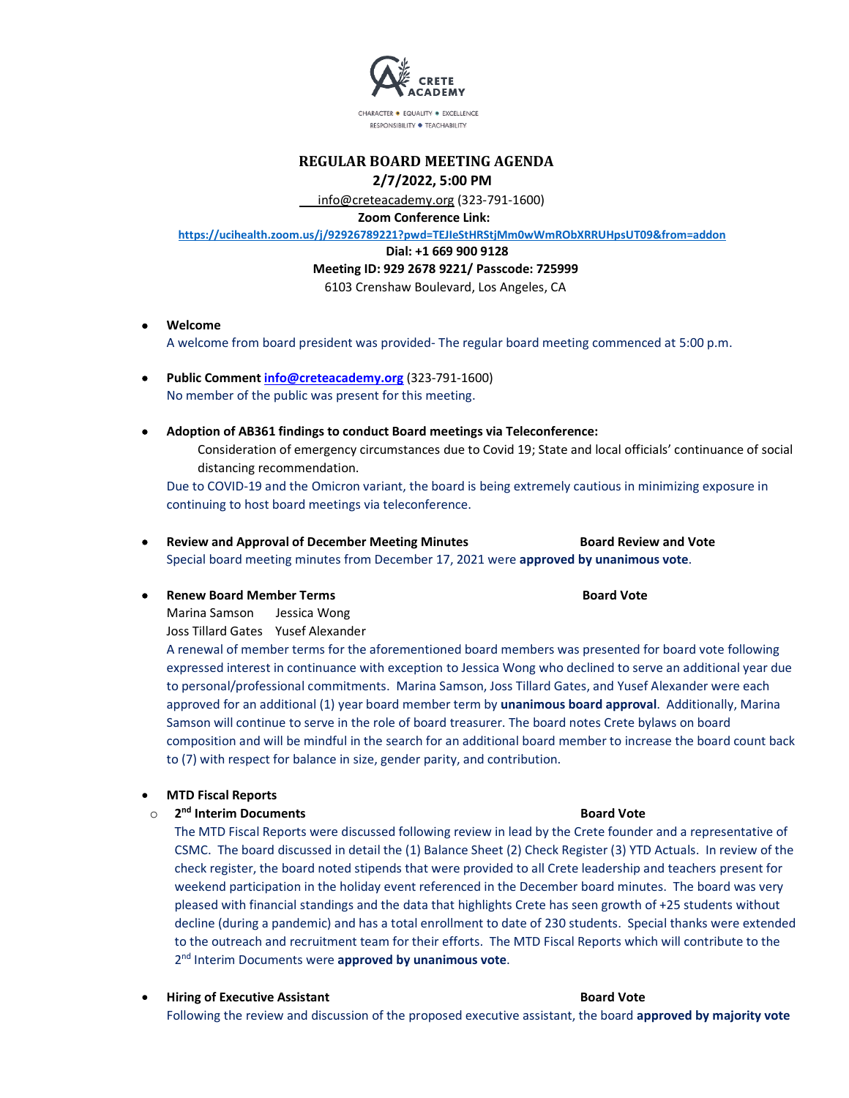

CHARACTER · EQUALITY · EXCELLENCE RESPONSIBILITY . TEACHABILITY

## **REGULAR BOARD MEETING AGENDA 2/7/2022, 5:00 PM**

info@creteacademy.org (323-791-1600)

**Zoom Conference Link:** 

**https://ucihealth.zoom.us/j/92926789221?pwd=TEJIeStHRStjMm0wWmRObXRRUHpsUT09&from=addon** 

### **Dial: +1 669 900 9128**

### **Meeting ID: 929 2678 9221/ Passcode: 725999**

6103 Crenshaw Boulevard, Los Angeles, CA

- **Welcome**  A welcome from board president was provided- The regular board meeting commenced at 5:00 p.m.
- **Public Comment info@creteacademy.org** (323-791-1600) No member of the public was present for this meeting.
- **Adoption of AB361 findings to conduct Board meetings via Teleconference:**
	- Consideration of emergency circumstances due to Covid 19; State and local officials' continuance of social distancing recommendation.

Due to COVID-19 and the Omicron variant, the board is being extremely cautious in minimizing exposure in continuing to host board meetings via teleconference.

- **Review and Approval of December Meeting Minutes <b>Board Review and Vote** Special board meeting minutes from December 17, 2021 were **approved by unanimous vote**.
- **Renew Board Member Terms and Solution Controllering Controllering Controllering Controllering Controllering Controllering Controllering Controllering Controllering Controllering Controllering Controllering Controllering C**

Marina Samson Jessica Wong

Joss Tillard Gates Yusef Alexander

A renewal of member terms for the aforementioned board members was presented for board vote following expressed interest in continuance with exception to Jessica Wong who declined to serve an additional year due to personal/professional commitments. Marina Samson, Joss Tillard Gates, and Yusef Alexander were each approved for an additional (1) year board member term by **unanimous board approval**. Additionally, Marina Samson will continue to serve in the role of board treasurer. The board notes Crete bylaws on board composition and will be mindful in the search for an additional board member to increase the board count back to (7) with respect for balance in size, gender parity, and contribution.

- **MTD Fiscal Reports**
- o **2nd Interim Documents Board Vote**

The MTD Fiscal Reports were discussed following review in lead by the Crete founder and a representative of CSMC. The board discussed in detail the (1) Balance Sheet (2) Check Register (3) YTD Actuals. In review of the check register, the board noted stipends that were provided to all Crete leadership and teachers present for weekend participation in the holiday event referenced in the December board minutes. The board was very pleased with financial standings and the data that highlights Crete has seen growth of +25 students without decline (during a pandemic) and has a total enrollment to date of 230 students. Special thanks were extended to the outreach and recruitment team for their efforts. The MTD Fiscal Reports which will contribute to the 2nd Interim Documents were **approved by unanimous vote**.

**Figure 1 Associate Assistant Assistant Board Vote** Board Vote

Following the review and discussion of the proposed executive assistant, the board **approved by majority vote**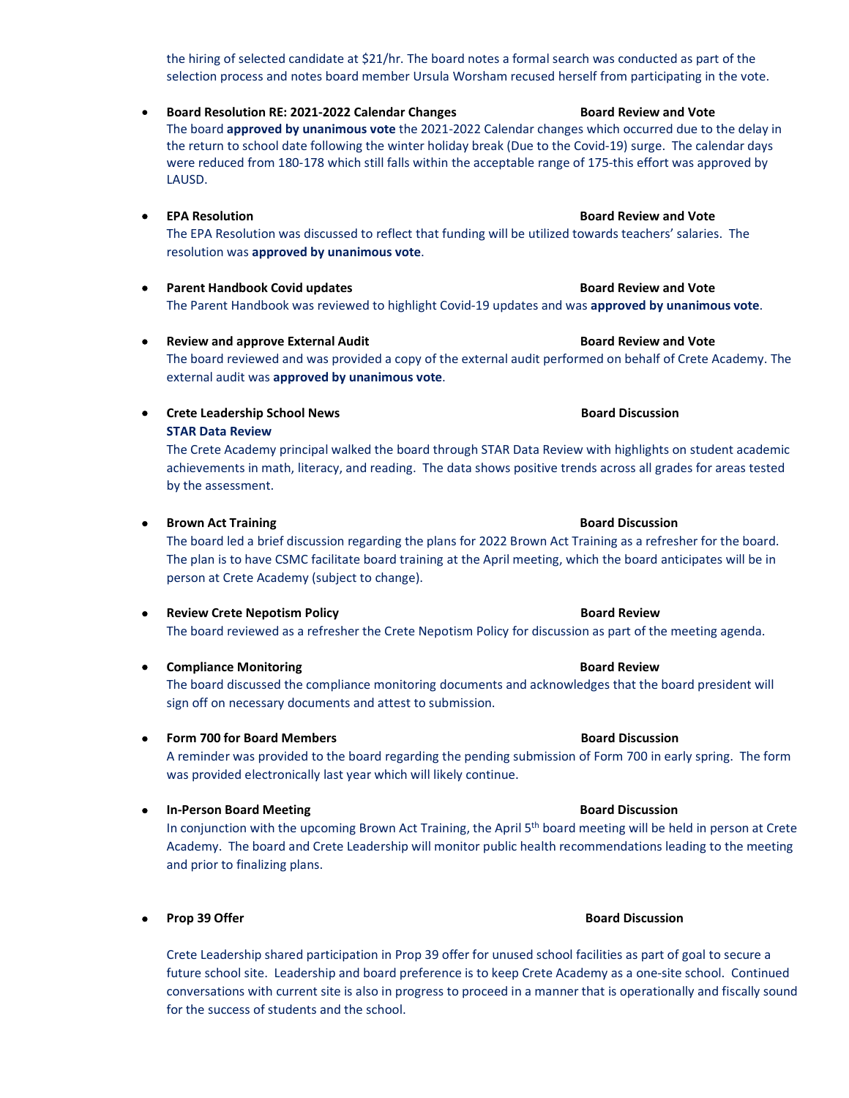the hiring of selected candidate at \$21/hr. The board notes a formal search was conducted as part of the selection process and notes board member Ursula Worsham recused herself from participating in the vote.

• **Board Resolution RE: 2021-2022 Calendar Changes Board Review and Vote** The board **approved by unanimous vote** the 2021-2022 Calendar changes which occurred due to the delay in the return to school date following the winter holiday break (Due to the Covid-19) surge. The calendar days were reduced from 180-178 which still falls within the acceptable range of 175-this effort was approved by LAUSD.

- **EPA Resolution Board Review and Vote** The EPA Resolution was discussed to reflect that funding will be utilized towards teachers' salaries. The resolution was **approved by unanimous vote**.
- **Parent Handbook Covid updates Access Access Access Access Access Access Access Access Access Access Access Access** The Parent Handbook was reviewed to highlight Covid-19 updates and was **approved by unanimous vote**.

• **Crete Leadership School News Board Discussion**

**• Review and approve External Audit Audit Audit Board Review and Vote** The board reviewed and was provided a copy of the external audit performed on behalf of Crete Academy. The external audit was **approved by unanimous vote**.

**STAR Data Review** The Crete Academy principal walked the board through STAR Data Review with highlights on student academic achievements in math, literacy, and reading. The data shows positive trends across all grades for areas tested by the assessment.

# **From Act Training Board Discussion**

The board led a brief discussion regarding the plans for 2022 Brown Act Training as a refresher for the board. The plan is to have CSMC facilitate board training at the April meeting, which the board anticipates will be in person at Crete Academy (subject to change).

- **Review Crete Nepotism Policy Community Community Review Board Review** The board reviewed as a refresher the Crete Nepotism Policy for discussion as part of the meeting agenda.
- Compliance Monitoring **Board Review Board Review Board Review**

The board discussed the compliance monitoring documents and acknowledges that the board president will sign off on necessary documents and attest to submission.

• **Form 700 for Board Members Board Discussion**

A reminder was provided to the board regarding the pending submission of Form 700 in early spring. The form was provided electronically last year which will likely continue.

• **In-Person Board Meeting Board Discussion**

In conjunction with the upcoming Brown Act Training, the April 5<sup>th</sup> board meeting will be held in person at Crete Academy. The board and Crete Leadership will monitor public health recommendations leading to the meeting and prior to finalizing plans.

• **Prop 39 Offer Board Discussion**

Crete Leadership shared participation in Prop 39 offer for unused school facilities as part of goal to secure a future school site. Leadership and board preference is to keep Crete Academy as a one-site school. Continued conversations with current site is also in progress to proceed in a manner that is operationally and fiscally sound for the success of students and the school.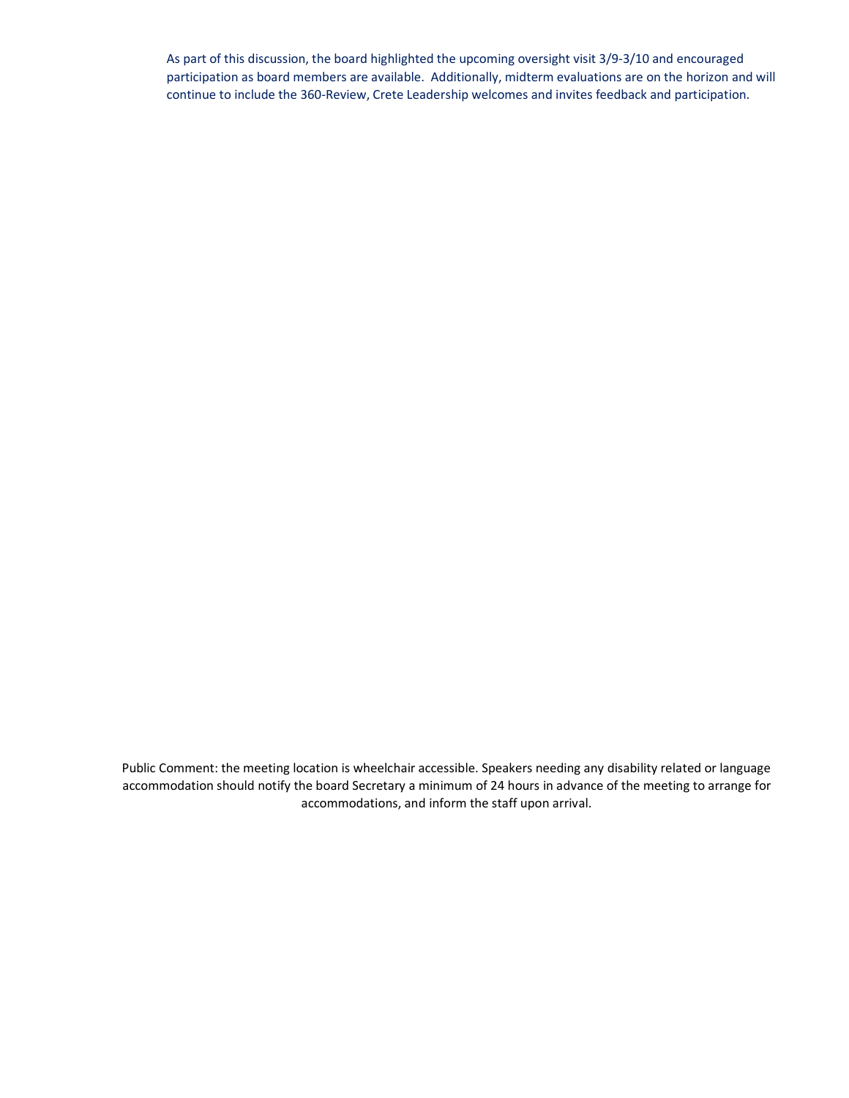As part of this discussion, the board highlighted the upcoming oversight visit 3/9-3/10 and encouraged participation as board members are available. Additionally, midterm evaluations are on the horizon and will continue to include the 360-Review, Crete Leadership welcomes and invites feedback and participation.

Public Comment: the meeting location is wheelchair accessible. Speakers needing any disability related or language accommodation should notify the board Secretary a minimum of 24 hours in advance of the meeting to arrange for accommodations, and inform the staff upon arrival.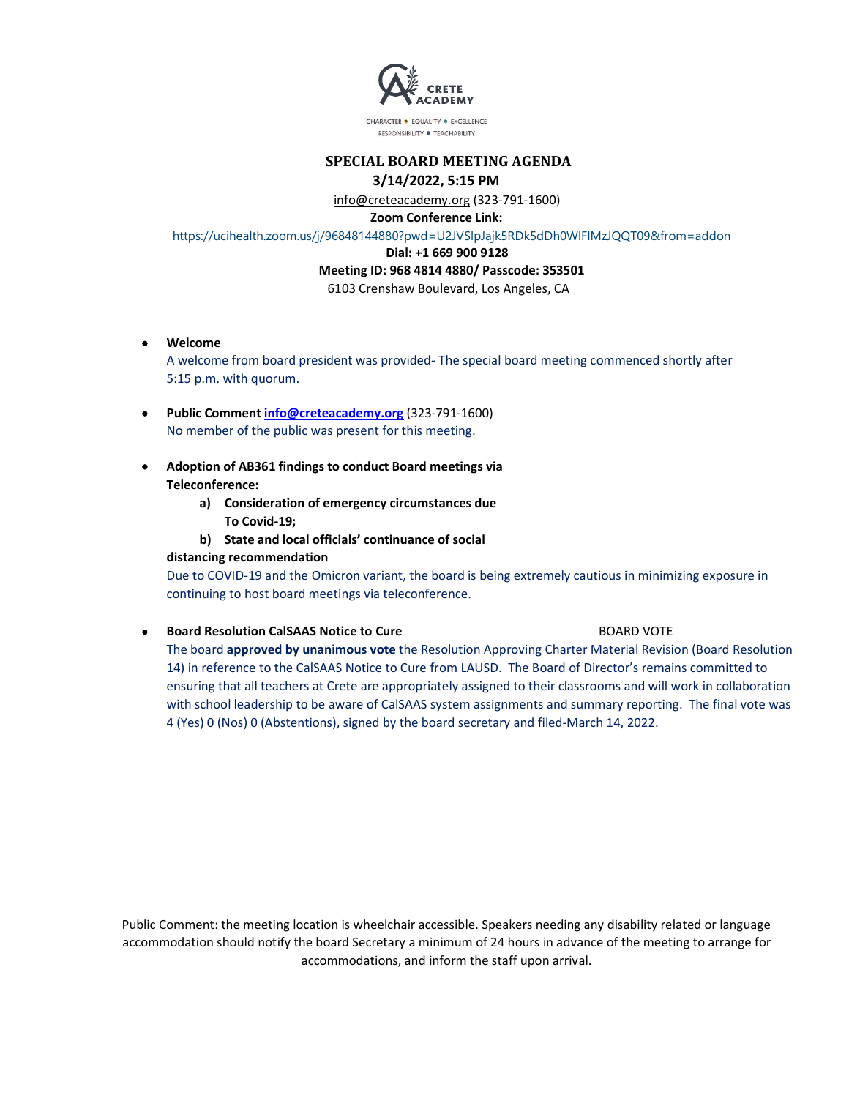

CHARACTER · EQUALITY · EXCELLENCE RESPONSIBILITY · TEACHABILITY

# **SPECIAL BOARD MEETING AGENDA 3/14/2022, 5:15 PM**

 info@creteacademy.org (323-791-1600)  **Zoom Conference Link:** 

https://ucihealth.zoom.us/j/96848144880?pwd=U2JVSlpJajk5RDk5dDh0WlFlMzJQQT09&from=addon

### **Dial: +1 669 900 9128**

### **Meeting ID: 968 4814 4880/ Passcode: 353501**

6103 Crenshaw Boulevard, Los Angeles, CA

• **Welcome** 

A welcome from board president was provided- The special board meeting commenced shortly after 5:15 p.m. with quorum.

- **Public Comment info@creteacademy.org** (323-791-1600) No member of the public was present for this meeting.
- **Adoption of AB361 findings to conduct Board meetings via Teleconference:**
	- **a) Consideration of emergency circumstances due To Covid-19;**
	- **b) State and local officials' continuance of social**

### **distancing recommendation**

Due to COVID-19 and the Omicron variant, the board is being extremely cautious in minimizing exposure in continuing to host board meetings via teleconference.

### **• Board Resolution CalSAAS Notice to Cure** BOARD VOTE

The board **approved by unanimous vote** the Resolution Approving Charter Material Revision (Board Resolution 14) in reference to the CalSAAS Notice to Cure from LAUSD. The Board of Director's remains committed to ensuring that all teachers at Crete are appropriately assigned to their classrooms and will work in collaboration with school leadership to be aware of CalSAAS system assignments and summary reporting. The final vote was 4 (Yes) 0 (Nos) 0 (Abstentions), signed by the board secretary and filed-March 14, 2022.

Public Comment: the meeting location is wheelchair accessible. Speakers needing any disability related or language accommodation should notify the board Secretary a minimum of 24 hours in advance of the meeting to arrange for accommodations, and inform the staff upon arrival.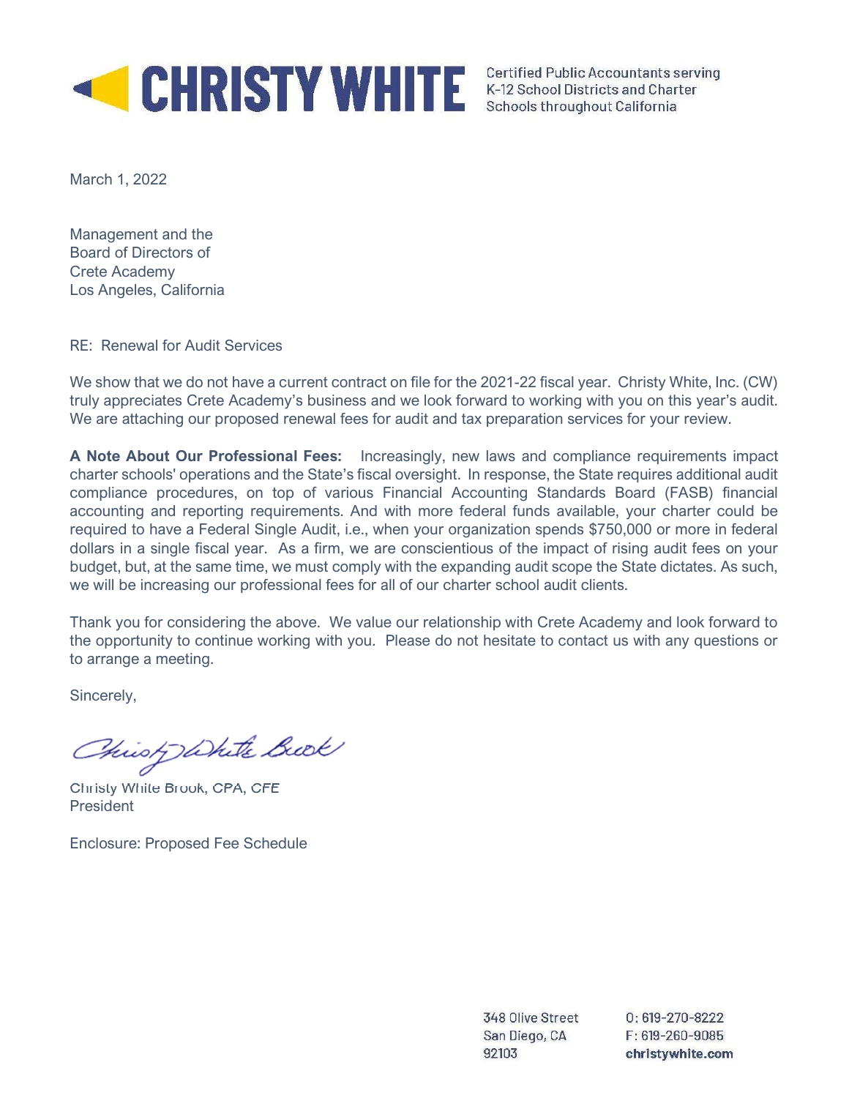

March 1, 2022

Management and the Board of Directors of Crete Academy Los Angeles, California

RE: Renewal for Audit Services

We show that we do not have a current contract on file for the 2021-22 fiscal year. Christy White, Inc. (CW) truly appreciates Crete Academy's business and we look forward to working with you on this year's audit. We are attaching our proposed renewal fees for audit and tax preparation services for your review.

A Note About Our Professional Fees: Increasingly, new laws and compliance requirements impact charter schools' operations and the State's fiscal oversight. In response, the State requires additional audit compliance procedures, on top of various Financial Accounting Standards Board (FASB) financial accounting and reporting requirements. And with more federal funds available, your charter could be required to have a Federal Single Audit, i.e., when your organization spends \$750,000 or more in federal dollars in a single fiscal year. As a firm, we are conscientious of the impact of rising audit fees on your budget, but, at the same time, we must comply with the expanding audit scope the State dictates. As such, we will be increasing our professional fees for all of our charter school audit clients.

Thank you for considering the above. We value our relationship with Crete Academy and look forward to the opportunity to continue working with you. Please do not hesitate to contact us with any questions or to arrange a meeting.

Sincerely,

Christ White Bude

Christy White Brook, CPA, CFE President

Enclosure: Proposed Fee Schedule

348 Olive Street San Diego, CA 92103

 $0:619-270-8222$  $F: 619 - 260 - 9085$ christywhite.com